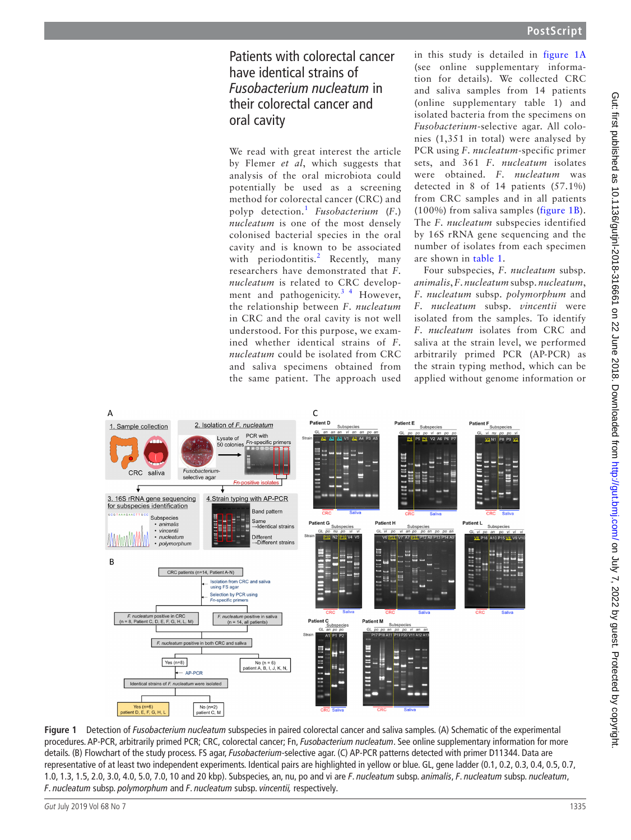## Patients with colorectal cancer have identical strains of *Fusobacterium nucleatum* in their colorectal cancer and oral cavity

We read with great interest the article by Flemer *et al*, which suggests that analysis of the oral microbiota could potentially be used as a screening method for colorectal cancer (CRC) and polyp detection.1 *Fusobacterium* (*F*.) *nucleatum* is one of the most densely colonised bacterial species in the oral cavity and is known to be associated with periodontitis.<sup>2</sup> Recently, many researchers have demonstrated that *F*. *nucleatum* is related to CRC development and pathogenicity.<sup>3</sup> <sup>4</sup> However, the relationship between *F*. *nucleatum* in CRC and the oral cavity is not well understood. For this purpose, we examined whether identical strains of *F*. *nucleatum* could be isolated from CRC and saliva specimens obtained from the same patient. The approach used

in this study is detailed in figure 1A (see online [supplementary informa](https://dx.doi.org/10.1136/gutjnl-2018-316994)[tion](https://dx.doi.org/10.1136/gutjnl-2018-316994) for details). We collected CRC and saliva samples from 14 patients (online [supplementary table 1\)](https://dx.doi.org/10.1136/gutjnl-2018-316994) and isolated bacteria from the specimens on *Fusobacterium*-selective agar. All colonies (1,351 in total) were analysed by PCR using *F*. *nucleatum*-specific primer sets, and 361 *F*. *nucleatum* isolates were obtained. *F*. *nucleatum* was detected in 8 of 14 patients (57.1%) from CRC samples and in all patients (100%) from saliva samples (figure 1B). The *F*. *nucleatum* subspecies identified by 16S rRNA gene sequencing and the number of isolates from each specimen are shown in table 1.

Four subspecies, *F*. *nucleatum* subsp. *animalis*, *F*. *nucleatum* subsp. *nucleatum*, *F*. *nucleatum* subsp. *polymorphum* and *F*. *nucleatum* subsp. *vincentii* were isolated from the samples. To identify *F*. *nucleatum* isolates from CRC and saliva at the strain level, we performed arbitrarily primed PCR (AP-PCR) as the strain typing method, which can be applied without genome information or



**Figure 1** Detection of *Fusobacterium nucleatum* subspecies in paired colorectal cancer and saliva samples. (A) Schematic of the experimental procedures. AP-PCR, arbitrarily primed PCR; CRC, colorectal cancer; Fn, *Fusobacterium nucleatum*. See online [supplementary information](https://dx.doi.org/10.1136/gutjnl-2018-316994) for more details. (B) Flowchart of the study process. FS agar, *Fusobacterium*-selective agar. (C) AP-PCR patterns detected with primer D11344. Data are representative of at least two independent experiments. Identical pairs are highlighted in yellow or blue. GL, gene ladder (0.1, 0.2, 0.3, 0.4, 0.5, 0.7, 1.0, 1.3, 1.5, 2.0, 3.0, 4.0, 5.0, 7.0, 10 and 20 kbp). Subspecies, an, nu, po and vi are *F*. *nucleatum* subsp. *animalis*, *F*. *nucleatum* subsp. *nucleatum*, *F*. *nucleatum* subsp. *polymorphum* and *F*. *nucleatum* subsp. *vincentii,* respectively.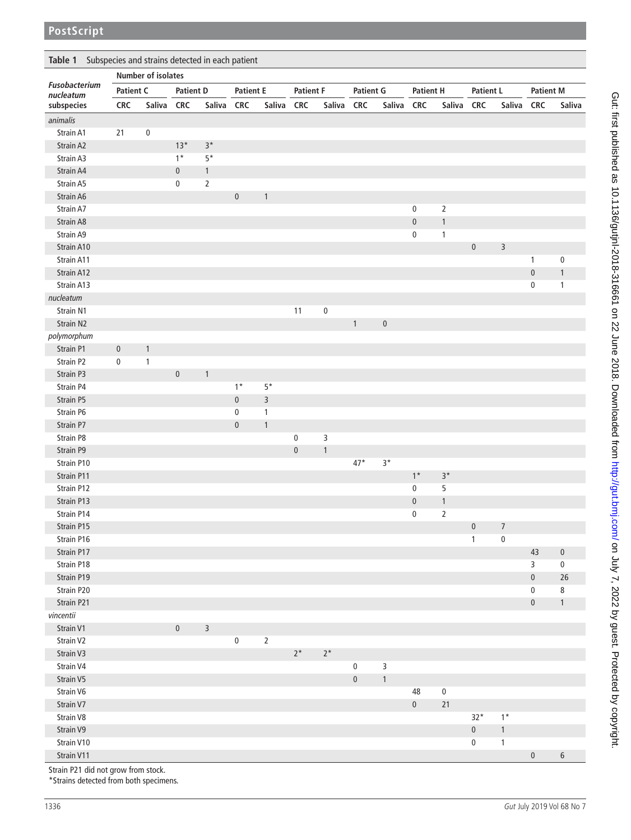| Subspecies and strains detected in each patient<br>Table 1 |                           |              |                  |              |                  |                |                  |              |                  |              |                  |                |                  |                |                  |              |
|------------------------------------------------------------|---------------------------|--------------|------------------|--------------|------------------|----------------|------------------|--------------|------------------|--------------|------------------|----------------|------------------|----------------|------------------|--------------|
| Fusobacterium<br>nucleatum<br>subspecies                   | <b>Number of isolates</b> |              |                  |              |                  |                |                  |              |                  |              |                  |                |                  |                |                  |              |
|                                                            | <b>Patient C</b>          |              | <b>Patient D</b> |              | <b>Patient E</b> |                | <b>Patient F</b> |              | <b>Patient G</b> |              | <b>Patient H</b> |                | <b>Patient L</b> |                | <b>Patient M</b> |              |
|                                                            | <b>CRC</b>                | Saliva CRC   |                  | Saliva       | <b>CRC</b>       | Saliva         | <b>CRC</b>       | Saliva       | <b>CRC</b>       | Saliva       | <b>CRC</b>       | Saliva         | <b>CRC</b>       | Saliva         | <b>CRC</b>       | Saliva       |
| animalis                                                   |                           |              |                  |              |                  |                |                  |              |                  |              |                  |                |                  |                |                  |              |
| Strain A1                                                  | 21                        | $\pmb{0}$    |                  |              |                  |                |                  |              |                  |              |                  |                |                  |                |                  |              |
| Strain A2                                                  |                           |              | $13*$            | $3*$         |                  |                |                  |              |                  |              |                  |                |                  |                |                  |              |
| Strain A3                                                  |                           |              | $1*$             | $5*$         |                  |                |                  |              |                  |              |                  |                |                  |                |                  |              |
| Strain A4                                                  |                           |              | $\pmb{0}$        | $\mathbf{1}$ |                  |                |                  |              |                  |              |                  |                |                  |                |                  |              |
| Strain A5                                                  |                           |              | 0                | $\sqrt{2}$   |                  |                |                  |              |                  |              |                  |                |                  |                |                  |              |
| Strain A6                                                  |                           |              |                  |              | $\pmb{0}$        | $\mathbf{1}$   |                  |              |                  |              |                  |                |                  |                |                  |              |
| Strain A7                                                  |                           |              |                  |              |                  |                |                  |              |                  |              | $\pmb{0}$        | $\overline{2}$ |                  |                |                  |              |
| Strain A8                                                  |                           |              |                  |              |                  |                |                  |              |                  |              | $\pmb{0}$        | $\mathbf{1}$   |                  |                |                  |              |
| Strain A9                                                  |                           |              |                  |              |                  |                |                  |              |                  |              | $\pmb{0}$        | 1              |                  |                |                  |              |
| Strain A10                                                 |                           |              |                  |              |                  |                |                  |              |                  |              |                  |                | $\pmb{0}$        | 3              |                  |              |
| Strain A11                                                 |                           |              |                  |              |                  |                |                  |              |                  |              |                  |                |                  |                | $\mathbf{1}$     | $\pmb{0}$    |
| Strain A12                                                 |                           |              |                  |              |                  |                |                  |              |                  |              |                  |                |                  |                | $\pmb{0}$        | $\mathbf{1}$ |
| Strain A13                                                 |                           |              |                  |              |                  |                |                  |              |                  |              |                  |                |                  |                | $\pmb{0}$        | $\mathbf{1}$ |
| nucleatum                                                  |                           |              |                  |              |                  |                |                  |              |                  |              |                  |                |                  |                |                  |              |
| Strain N1                                                  |                           |              |                  |              |                  |                | 11               | $\bf 0$      |                  |              |                  |                |                  |                |                  |              |
|                                                            |                           |              |                  |              |                  |                |                  |              |                  |              |                  |                |                  |                |                  |              |
| Strain N2                                                  |                           |              |                  |              |                  |                |                  |              | $\mathbf{1}$     | $\pmb{0}$    |                  |                |                  |                |                  |              |
| polymorphum                                                |                           |              |                  |              |                  |                |                  |              |                  |              |                  |                |                  |                |                  |              |
| Strain P1                                                  | $\pmb{0}$                 | $\mathbf{1}$ |                  |              |                  |                |                  |              |                  |              |                  |                |                  |                |                  |              |
| Strain P2                                                  | 0                         | $\mathbf{1}$ |                  |              |                  |                |                  |              |                  |              |                  |                |                  |                |                  |              |
| Strain P3                                                  |                           |              | $\pmb{0}$        | $\mathbf{1}$ |                  |                |                  |              |                  |              |                  |                |                  |                |                  |              |
| Strain P4                                                  |                           |              |                  |              | $1*$             | $5*$           |                  |              |                  |              |                  |                |                  |                |                  |              |
| Strain P5                                                  |                           |              |                  |              | $\pmb{0}$        | $\overline{3}$ |                  |              |                  |              |                  |                |                  |                |                  |              |
| Strain P6                                                  |                           |              |                  |              | $\pmb{0}$        | $\mathbf{1}$   |                  |              |                  |              |                  |                |                  |                |                  |              |
| Strain P7                                                  |                           |              |                  |              | $\pmb{0}$        | $\mathbf{1}$   |                  |              |                  |              |                  |                |                  |                |                  |              |
| Strain P8                                                  |                           |              |                  |              |                  |                | $\pmb{0}$        | 3            |                  |              |                  |                |                  |                |                  |              |
| Strain P9                                                  |                           |              |                  |              |                  |                | $\pmb{0}$        | $\mathbf{1}$ |                  |              |                  |                |                  |                |                  |              |
| Strain P10                                                 |                           |              |                  |              |                  |                |                  |              | $47*$            | $3*$         |                  |                |                  |                |                  |              |
| Strain P11                                                 |                           |              |                  |              |                  |                |                  |              |                  |              | $1*$             | $3*$           |                  |                |                  |              |
| Strain P12                                                 |                           |              |                  |              |                  |                |                  |              |                  |              | $\pmb{0}$        | 5              |                  |                |                  |              |
| Strain P13                                                 |                           |              |                  |              |                  |                |                  |              |                  |              | $\pmb{0}$        | 1              |                  |                |                  |              |
| Strain P14                                                 |                           |              |                  |              |                  |                |                  |              |                  |              | $\pmb{0}$        | $\overline{2}$ |                  |                |                  |              |
| Strain P15                                                 |                           |              |                  |              |                  |                |                  |              |                  |              |                  |                | $\mathbf{0}$     | $\overline{7}$ |                  |              |
| Strain P16                                                 |                           |              |                  |              |                  |                |                  |              |                  |              |                  |                | $\mathbf{1}$     | $\pmb{0}$      |                  |              |
| Strain P17                                                 |                           |              |                  |              |                  |                |                  |              |                  |              |                  |                |                  |                | 43               | $\pmb{0}$    |
| Strain P18                                                 |                           |              |                  |              |                  |                |                  |              |                  |              |                  |                |                  |                | $\overline{3}$   | $\pmb{0}$    |
| Strain P19                                                 |                           |              |                  |              |                  |                |                  |              |                  |              |                  |                |                  |                | $\pmb{0}$        | 26           |
| Strain P20                                                 |                           |              |                  |              |                  |                |                  |              |                  |              |                  |                |                  |                | $\pmb{0}$        | $\,8\,$      |
| Strain P21                                                 |                           |              |                  |              |                  |                |                  |              |                  |              |                  |                |                  |                | $\pmb{0}$        | $\mathbf{1}$ |
| vincentii                                                  |                           |              |                  |              |                  |                |                  |              |                  |              |                  |                |                  |                |                  |              |
| Strain V1                                                  |                           |              | $\pmb{0}$        | $\mathsf 3$  |                  |                |                  |              |                  |              |                  |                |                  |                |                  |              |
| Strain V2                                                  |                           |              |                  |              | $\pmb{0}$        | $\overline{2}$ |                  |              |                  |              |                  |                |                  |                |                  |              |
| Strain V3                                                  |                           |              |                  |              |                  |                | $2^*$            | $2^{\star}$  |                  |              |                  |                |                  |                |                  |              |
| Strain V4                                                  |                           |              |                  |              |                  |                |                  |              | $\pmb{0}$        | 3            |                  |                |                  |                |                  |              |
| Strain V5                                                  |                           |              |                  |              |                  |                |                  |              | $\mathbf 0$      | $\mathbf{1}$ |                  |                |                  |                |                  |              |
| Strain V6                                                  |                           |              |                  |              |                  |                |                  |              |                  |              | 48               | $\bf{0}$       |                  |                |                  |              |
| Strain V7                                                  |                           |              |                  |              |                  |                |                  |              |                  |              | $\pmb{0}$        | 21             |                  |                |                  |              |
| Strain V8                                                  |                           |              |                  |              |                  |                |                  |              |                  |              |                  |                | $32*$            | $1*$           |                  |              |
| Strain V9                                                  |                           |              |                  |              |                  |                |                  |              |                  |              |                  |                | $\pmb{0}$        | $\mathbf{1}$   |                  |              |
| Strain V10                                                 |                           |              |                  |              |                  |                |                  |              |                  |              |                  |                | $\pmb{0}$        | $\mathbf{1}$   |                  |              |
| Strain V11                                                 |                           |              |                  |              |                  |                |                  |              |                  |              |                  |                |                  |                | $\pmb{0}$        | $\,$ 6 $\,$  |

Strain P21 did not grow from stock.

\*Strains detected from both specimens.